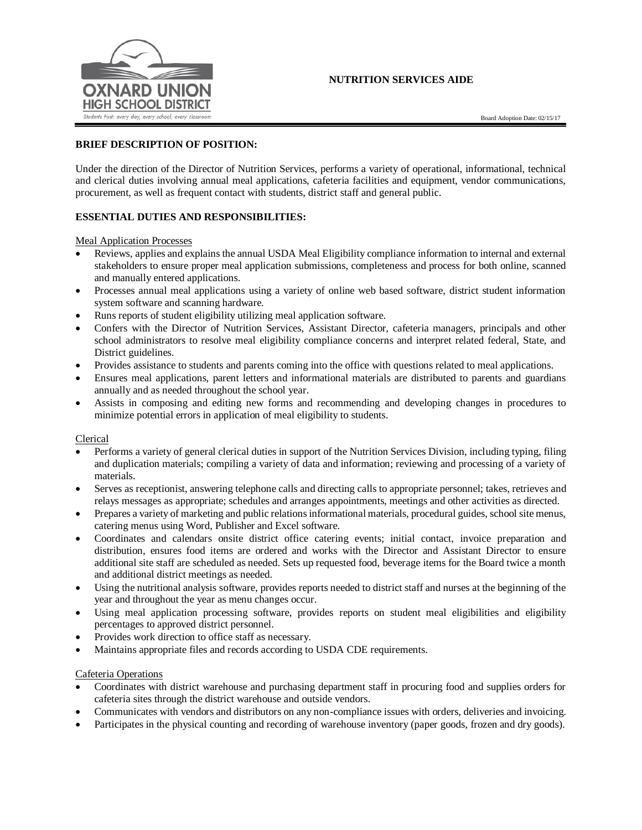# **NUTRITION SERVICES AIDE**



#### **BRIEF DESCRIPTION OF POSITION:**

Under the direction of the Director of Nutrition Services, performs a variety of operational, informational, technical and clerical duties involving annual meal applications, cafeteria facilities and equipment, vendor communications, procurement, as well as frequent contact with students, district staff and general public.

# **ESSENTIAL DUTIES AND RESPONSIBILITIES:**

Meal Application Processes

- Reviews, applies and explains the annual USDA Meal Eligibility compliance information to internal and external stakeholders to ensure proper meal application submissions, completeness and process for both online, scanned and manually entered applications.
- Processes annual meal applications using a variety of online web based software, district student information system software and scanning hardware.
- Runs reports of student eligibility utilizing meal application software.
- Confers with the Director of Nutrition Services, Assistant Director, cafeteria managers, principals and other school administrators to resolve meal eligibility compliance concerns and interpret related federal, State, and District guidelines.
- Provides assistance to students and parents coming into the office with questions related to meal applications.
- Ensures meal applications, parent letters and informational materials are distributed to parents and guardians annually and as needed throughout the school year.
- Assists in composing and editing new forms and recommending and developing changes in procedures to minimize potential errors in application of meal eligibility to students.

#### Clerical

- Performs a variety of general clerical duties in support of the Nutrition Services Division, including typing, filing and duplication materials; compiling a variety of data and information; reviewing and processing of a variety of materials.
- Serves as receptionist, answering telephone calls and directing calls to appropriate personnel; takes, retrieves and relays messages as appropriate; schedules and arranges appointments, meetings and other activities as directed.
- Prepares a variety of marketing and public relations informational materials, procedural guides, school site menus, catering menus using Word, Publisher and Excel software.
- Coordinates and calendars onsite district office catering events; initial contact, invoice preparation and distribution, ensures food items are ordered and works with the Director and Assistant Director to ensure additional site staff are scheduled as needed. Sets up requested food, beverage items for the Board twice a month and additional district meetings as needed.
- Using the nutritional analysis software, provides reports needed to district staff and nurses at the beginning of the year and throughout the year as menu changes occur.
- Using meal application processing software, provides reports on student meal eligibilities and eligibility percentages to approved district personnel.
- Provides work direction to office staff as necessary.
- Maintains appropriate files and records according to USDA CDE requirements.

#### Cafeteria Operations

- Coordinates with district warehouse and purchasing department staff in procuring food and supplies orders for cafeteria sites through the district warehouse and outside vendors.
- Communicates with vendors and distributors on any non-compliance issues with orders, deliveries and invoicing.
- Participates in the physical counting and recording of warehouse inventory (paper goods, frozen and dry goods).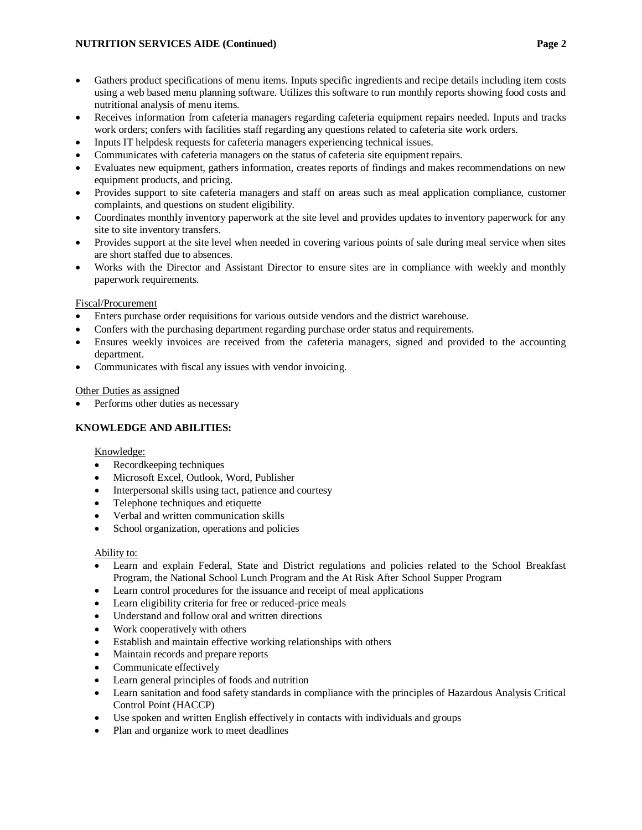- Gathers product specifications of menu items. Inputs specific ingredients and recipe details including item costs using a web based menu planning software. Utilizes this software to run monthly reports showing food costs and nutritional analysis of menu items.
- Receives information from cafeteria managers regarding cafeteria equipment repairs needed. Inputs and tracks work orders; confers with facilities staff regarding any questions related to cafeteria site work orders.
- Inputs IT helpdesk requests for cafeteria managers experiencing technical issues.
- Communicates with cafeteria managers on the status of cafeteria site equipment repairs.
- Evaluates new equipment, gathers information, creates reports of findings and makes recommendations on new equipment products, and pricing.
- Provides support to site cafeteria managers and staff on areas such as meal application compliance, customer complaints, and questions on student eligibility.
- Coordinates monthly inventory paperwork at the site level and provides updates to inventory paperwork for any site to site inventory transfers.
- Provides support at the site level when needed in covering various points of sale during meal service when sites are short staffed due to absences.
- Works with the Director and Assistant Director to ensure sites are in compliance with weekly and monthly paperwork requirements.

# Fiscal/Procurement

- Enters purchase order requisitions for various outside vendors and the district warehouse.
- Confers with the purchasing department regarding purchase order status and requirements.
- Ensures weekly invoices are received from the cafeteria managers, signed and provided to the accounting department.
- Communicates with fiscal any issues with vendor invoicing.

#### Other Duties as assigned

Performs other duties as necessary

#### **KNOWLEDGE AND ABILITIES:**

#### Knowledge:

- Recordkeeping techniques
- Microsoft Excel, Outlook, Word, Publisher
- Interpersonal skills using tact, patience and courtesy
- Telephone techniques and etiquette
- Verbal and written communication skills
- School organization, operations and policies

#### Ability to:

- Learn and explain Federal, State and District regulations and policies related to the School Breakfast Program, the National School Lunch Program and the At Risk After School Supper Program
- Learn control procedures for the issuance and receipt of meal applications
- Learn eligibility criteria for free or reduced-price meals
- Understand and follow oral and written directions
- Work cooperatively with others
- Establish and maintain effective working relationships with others
- Maintain records and prepare reports
- Communicate effectively
- Learn general principles of foods and nutrition
- Learn sanitation and food safety standards in compliance with the principles of Hazardous Analysis Critical Control Point (HACCP)
- Use spoken and written English effectively in contacts with individuals and groups
- Plan and organize work to meet deadlines